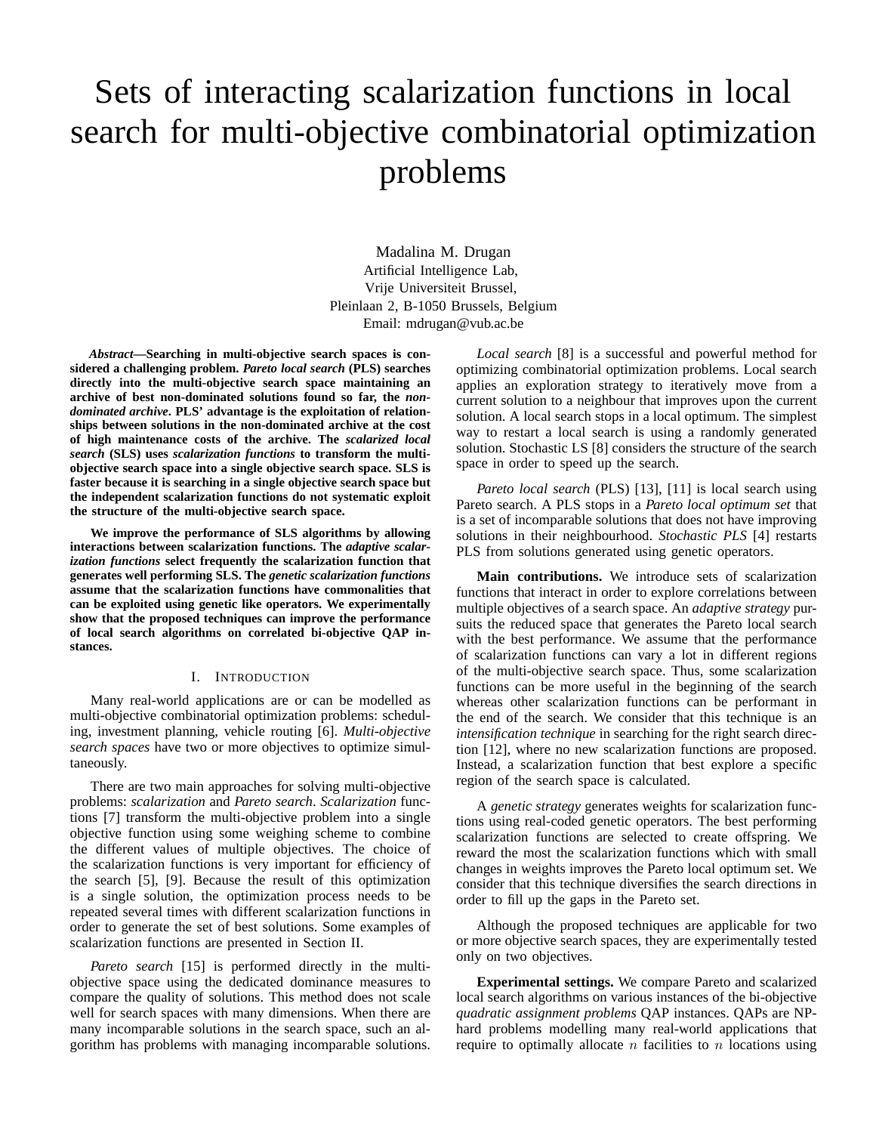# Sets of interacting scalarization functions in local search for multi-objective combinatorial optimization problems

Madalina M. Drugan Artificial Intelligence Lab, Vrije Universiteit Brussel, Pleinlaan 2, B-1050 Brussels, Belgium Email: mdrugan@vub.ac.be

*Abstract***—Searching in multi-objective search spaces is considered a challenging problem.** *Pareto local search* **(PLS) searches directly into the multi-objective search space maintaining an archive of best non-dominated solutions found so far, the** *nondominated archive***. PLS' advantage is the exploitation of relationships between solutions in the non-dominated archive at the cost of high maintenance costs of the archive. The** *scalarized local search* **(SLS) uses** *scalarization functions* **to transform the multiobjective search space into a single objective search space. SLS is faster because it is searching in a single objective search space but the independent scalarization functions do not systematic exploit the structure of the multi-objective search space.**

**We improve the performance of SLS algorithms by allowing interactions between scalarization functions. The** *adaptive scalarization functions* **select frequently the scalarization function that generates well performing SLS. The** *genetic scalarization functions* **assume that the scalarization functions have commonalities that can be exploited using genetic like operators. We experimentally show that the proposed techniques can improve the performance of local search algorithms on correlated bi-objective QAP instances.**

# I. INTRODUCTION

Many real-world applications are or can be modelled as multi-objective combinatorial optimization problems: scheduling, investment planning, vehicle routing [6]. *Multi-objective search spaces* have two or more objectives to optimize simultaneously.

There are two main approaches for solving multi-objective problems: *scalarization* and *Pareto search*. *Scalarization* functions [7] transform the multi-objective problem into a single objective function using some weighing scheme to combine the different values of multiple objectives. The choice of the scalarization functions is very important for efficiency of the search [5], [9]. Because the result of this optimization is a single solution, the optimization process needs to be repeated several times with different scalarization functions in order to generate the set of best solutions. Some examples of scalarization functions are presented in Section II.

*Pareto search* [15] is performed directly in the multiobjective space using the dedicated dominance measures to compare the quality of solutions. This method does not scale well for search spaces with many dimensions. When there are many incomparable solutions in the search space, such an algorithm has problems with managing incomparable solutions.

*Local search* [8] is a successful and powerful method for optimizing combinatorial optimization problems. Local search applies an exploration strategy to iteratively move from a current solution to a neighbour that improves upon the current solution. A local search stops in a local optimum. The simplest way to restart a local search is using a randomly generated solution. Stochastic LS [8] considers the structure of the search space in order to speed up the search.

*Pareto local search* (PLS) [13], [11] is local search using Pareto search. A PLS stops in a *Pareto local optimum set* that is a set of incomparable solutions that does not have improving solutions in their neighbourhood. *Stochastic PLS* [4] restarts PLS from solutions generated using genetic operators.

**Main contributions.** We introduce sets of scalarization functions that interact in order to explore correlations between multiple objectives of a search space. An *adaptive strategy* pursuits the reduced space that generates the Pareto local search with the best performance. We assume that the performance of scalarization functions can vary a lot in different regions of the multi-objective search space. Thus, some scalarization functions can be more useful in the beginning of the search whereas other scalarization functions can be performant in the end of the search. We consider that this technique is an *intensification technique* in searching for the right search direction [12], where no new scalarization functions are proposed. Instead, a scalarization function that best explore a specific region of the search space is calculated.

A *genetic strategy* generates weights for scalarization functions using real-coded genetic operators. The best performing scalarization functions are selected to create offspring. We reward the most the scalarization functions which with small changes in weights improves the Pareto local optimum set. We consider that this technique diversifies the search directions in order to fill up the gaps in the Pareto set.

Although the proposed techniques are applicable for two or more objective search spaces, they are experimentally tested only on two objectives.

**Experimental settings.** We compare Pareto and scalarized local search algorithms on various instances of the bi-objective *quadratic assignment problems* QAP instances. QAPs are NPhard problems modelling many real-world applications that require to optimally allocate  $n$  facilities to  $n$  locations using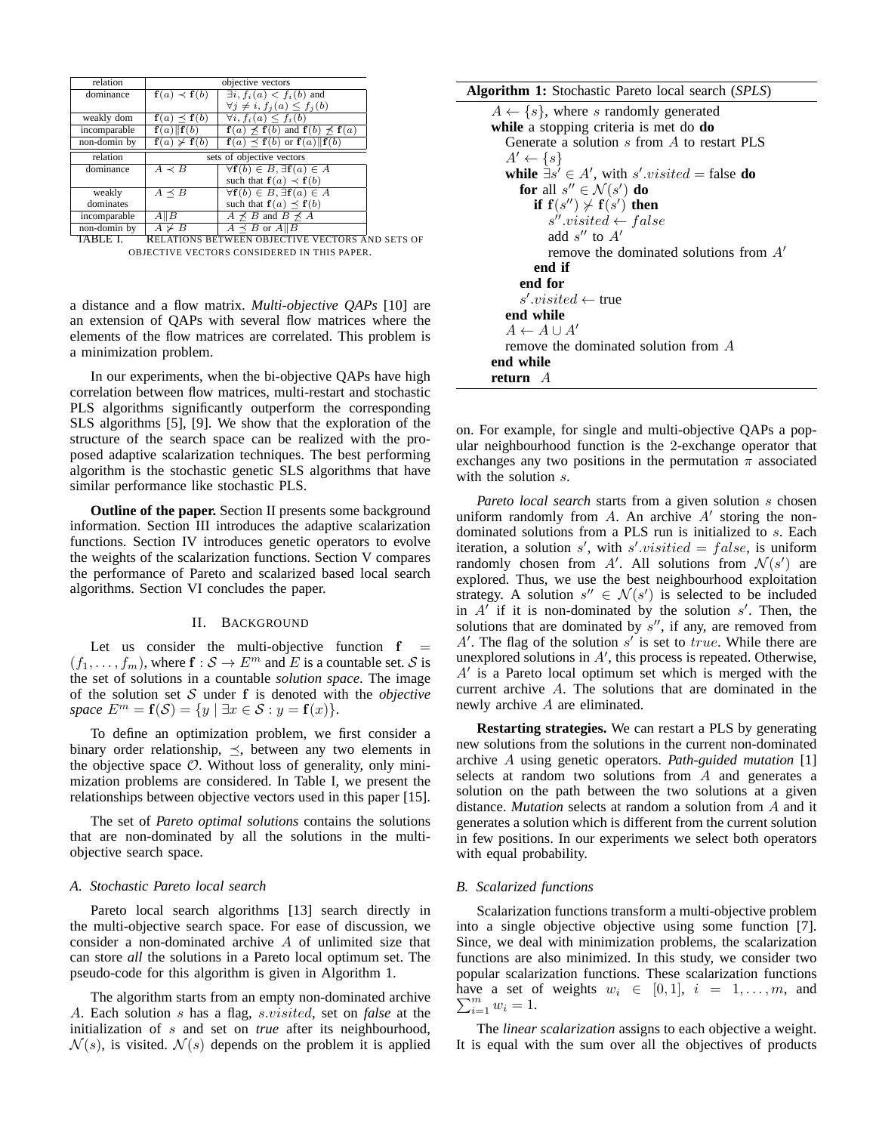| relation     | objective vectors    |                                                                               |  |  |  |  |
|--------------|----------------------|-------------------------------------------------------------------------------|--|--|--|--|
| dominance    | $f(a) \prec f(b)$    | $\exists i, f_i(a) < f_i(b)$ and                                              |  |  |  |  |
|              |                      | $\forall j \neq i, f_j(a) \leq f_j(b)$                                        |  |  |  |  |
| weakly dom   | $f(a) \preceq f(b)$  | $\forall i, f_i(a) \leq f_i(b)$                                               |  |  |  |  |
| incomparable | f(a)  f(b)           | $f(a) \nless f(b)$ and $f(b) \nless f(a)$                                     |  |  |  |  |
| non-domin by | $f(a) \not\geq f(b)$ | $f(a) \prec f(b)$ or $f(a)  f(b)$                                             |  |  |  |  |
| relation     |                      | sets of objective vectors                                                     |  |  |  |  |
| dominance    | $A \prec B$          | $\forall$ <b>f</b> $(b) \in B$ , $\exists$ <b>f</b> $(a) \in A$               |  |  |  |  |
|              |                      | such that $f(a) \prec f(b)$                                                   |  |  |  |  |
| weakly       | $A \prec B$          | $\forall$ <b>f</b> (b) $\in$ <i>B</i> , $\exists$ <b>f</b> (a) $\in$ <i>A</i> |  |  |  |  |
| dominates    |                      | such that $f(a) \prec f(b)$                                                   |  |  |  |  |
| incomparable | $A \parallel B$      | $A \nprec B$ and $B \nprec A$                                                 |  |  |  |  |
| non-domin by | $A \not\succ B$      | $A \prec B$ or $A  B$                                                         |  |  |  |  |
| TATL         |                      | Del iglove begween opteggive veggode                                          |  |  |  |  |

TABLE I. RELATIONS BETWEEN OBJECTIVE VECTORS AND SETS OF OBJECTIVE VECTORS CONSIDERED IN THIS PAPER.

a distance and a flow matrix. *Multi-objective QAPs* [10] are an extension of QAPs with several flow matrices where the elements of the flow matrices are correlated. This problem is a minimization problem.

In our experiments, when the bi-objective QAPs have high correlation between flow matrices, multi-restart and stochastic PLS algorithms significantly outperform the corresponding SLS algorithms [5], [9]. We show that the exploration of the structure of the search space can be realized with the proposed adaptive scalarization techniques. The best performing algorithm is the stochastic genetic SLS algorithms that have similar performance like stochastic PLS.

**Outline of the paper.** Section II presents some background information. Section III introduces the adaptive scalarization functions. Section IV introduces genetic operators to evolve the weights of the scalarization functions. Section V compares the performance of Pareto and scalarized based local search algorithms. Section VI concludes the paper.

# II. BACKGROUND

Let us consider the multi-objective function  $f$  $(f_1, \ldots, f_m)$ , where  $\mathbf{f} : \mathcal{S} \to E^m$  and E is a countable set. S is the set of solutions in a countable *solution space*. The image of the solution set S under f is denoted with the *objective space*  $E^m = f(\mathcal{S}) = \{y \mid \exists x \in \mathcal{S} : y = f(x)\}.$ 

To define an optimization problem, we first consider a binary order relationship,  $\preceq$ , between any two elements in the objective space  $\mathcal O$ . Without loss of generality, only minimization problems are considered. In Table I, we present the relationships between objective vectors used in this paper [15].

The set of *Pareto optimal solutions* contains the solutions that are non-dominated by all the solutions in the multiobjective search space.

## *A. Stochastic Pareto local search*

Pareto local search algorithms [13] search directly in the multi-objective search space. For ease of discussion, we consider a non-dominated archive A of unlimited size that can store *all* the solutions in a Pareto local optimum set. The pseudo-code for this algorithm is given in Algorithm 1.

The algorithm starts from an empty non-dominated archive A. Each solution s has a flag, s.visited, set on *false* at the initialization of s and set on *true* after its neighbourhood,  $\mathcal{N}(s)$ , is visited.  $\mathcal{N}(s)$  depends on the problem it is applied

**Algorithm 1:** Stochastic Pareto local search (*SPLS*)

| $A \leftarrow \{s\}$ , where s randomly generated      |  |  |  |  |  |
|--------------------------------------------------------|--|--|--|--|--|
| while a stopping criteria is met do do                 |  |  |  |  |  |
| Generate a solution s from A to restart PLS            |  |  |  |  |  |
| $A' \leftarrow \{s\}$                                  |  |  |  |  |  |
| while $\exists s' \in A'$ , with s' visited = false do |  |  |  |  |  |
| for all $s'' \in \mathcal{N}(s')$ do                   |  |  |  |  |  |
| if $f(s'') \nsucc f(s')$ then                          |  |  |  |  |  |
| $s''.visited \leftarrow false$                         |  |  |  |  |  |
| add $s''$ to $A'$                                      |  |  |  |  |  |
| remove the dominated solutions from $A'$               |  |  |  |  |  |
| end if                                                 |  |  |  |  |  |
| end for                                                |  |  |  |  |  |
| $s'.visited \leftarrow true$                           |  |  |  |  |  |
| end while                                              |  |  |  |  |  |
| $A \leftarrow A \cup A'$                               |  |  |  |  |  |
| remove the dominated solution from $\overline{A}$      |  |  |  |  |  |
| end while                                              |  |  |  |  |  |
| <b>return</b> A                                        |  |  |  |  |  |

on. For example, for single and multi-objective QAPs a popular neighbourhood function is the 2-exchange operator that exchanges any two positions in the permutation  $\pi$  associated with the solution s.

*Pareto local search* starts from a given solution s chosen uniform randomly from  $A$ . An archive  $A'$  storing the nondominated solutions from a PLS run is initialized to s. Each iteration, a solution s', with s' visitied = false, is uniform randomly chosen from A'. All solutions from  $\mathcal{N}(s')$  are explored. Thus, we use the best neighbourhood exploitation strategy. A solution  $s'' \in \mathcal{N}(s')$  is selected to be included in  $A'$  if it is non-dominated by the solution  $s'$ . Then, the solutions that are dominated by  $s''$ , if any, are removed from  $A'$ . The flag of the solution  $s'$  is set to true. While there are unexplored solutions in  $A'$ , this process is repeated. Otherwise, A′ is a Pareto local optimum set which is merged with the current archive A. The solutions that are dominated in the newly archive A are eliminated.

**Restarting strategies.** We can restart a PLS by generating new solutions from the solutions in the current non-dominated archive A using genetic operators. *Path-guided mutation* [1] selects at random two solutions from A and generates a solution on the path between the two solutions at a given distance. *Mutation* selects at random a solution from A and it generates a solution which is different from the current solution in few positions. In our experiments we select both operators with equal probability.

#### *B. Scalarized functions*

Scalarization functions transform a multi-objective problem into a single objective objective using some function [7]. Since, we deal with minimization problems, the scalarization functions are also minimized. In this study, we consider two popular scalarization functions. These scalarization functions  $\sum_{i=1}^{m} w_i = 1.$ have a set of weights  $w_i \in [0,1], i = 1, \ldots, m$ , and

The *linear scalarization* assigns to each objective a weight. It is equal with the sum over all the objectives of products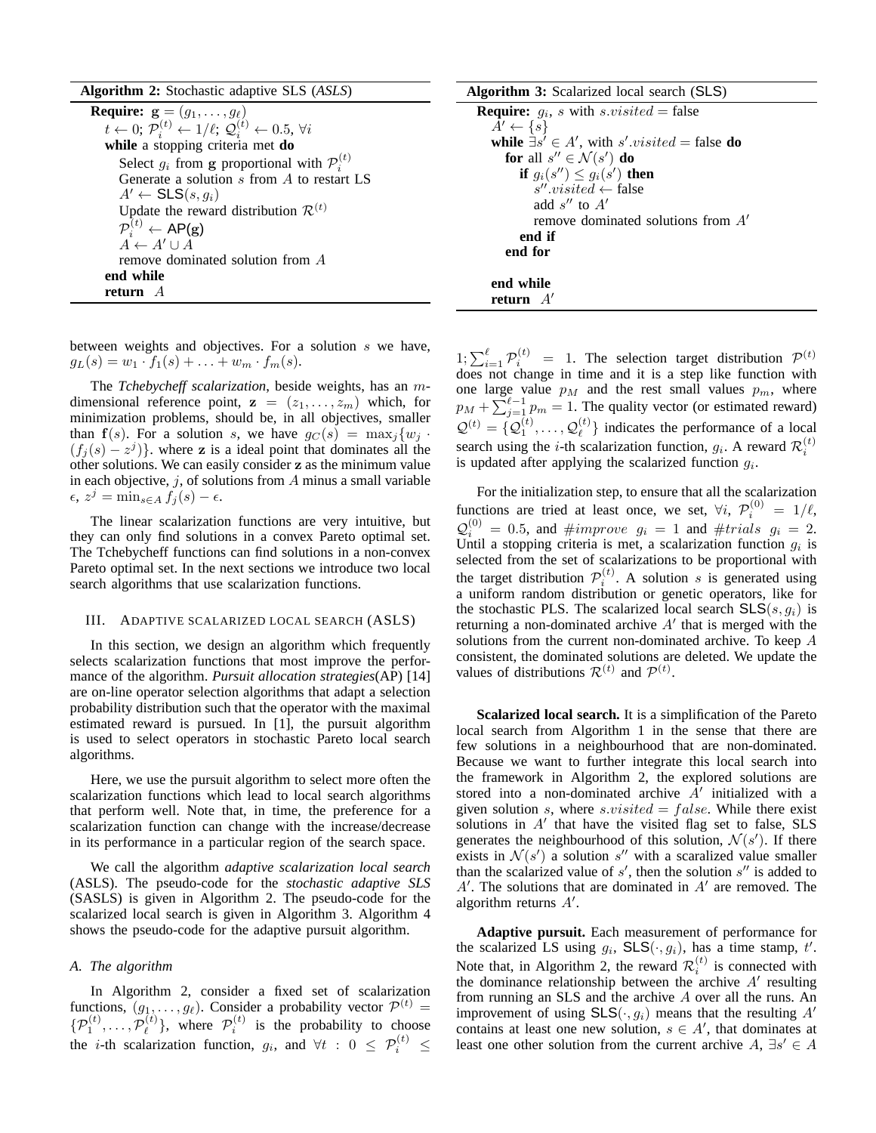| <b>Algorithm 2:</b> Stochastic adaptive SLS (ASLS)                                                     |  |  |  |  |
|--------------------------------------------------------------------------------------------------------|--|--|--|--|
| <b>Require:</b> $\mathbf{g} = (g_1, \dots, g_\ell)$                                                    |  |  |  |  |
| $t \leftarrow 0; \mathcal{P}_i^{(t)} \leftarrow 1/\ell; \mathcal{Q}_i^{(t)} \leftarrow 0.5, \forall i$ |  |  |  |  |
| while a stopping criteria met do                                                                       |  |  |  |  |
| Select $g_i$ from g proportional with $\mathcal{P}_i^{(t)}$                                            |  |  |  |  |
| Generate a solution $s$ from $A$ to restart LS                                                         |  |  |  |  |
| $A' \leftarrow$ SLS $(s, g_i)$                                                                         |  |  |  |  |
| Update the reward distribution $\mathcal{R}^{(t)}$                                                     |  |  |  |  |
| $\mathcal{P}_i^{(t)} \leftarrow \mathsf{AP}(\mathbf{g})$                                               |  |  |  |  |
| $A \leftarrow A' \sqcup A$                                                                             |  |  |  |  |
| remove dominated solution from A                                                                       |  |  |  |  |
| end while                                                                                              |  |  |  |  |
| return $A$                                                                                             |  |  |  |  |

**Algorithm 3:** Scalarized local search (SLS)

| <b>Require:</b> $g_i$ , <i>s</i> with <i>s.visited</i> = false |
|----------------------------------------------------------------|
| $A' \leftarrow \{s\}$                                          |
| while $\exists s' \in A'$ , with s' visited = false do         |
| for all $s'' \in \mathcal{N}(s')$ do                           |
| if $g_i(s'') \leq g_i(s')$ then                                |
| $s''$ visited $\leftarrow$ false                               |
| add $s''$ to $A'$                                              |
| remove dominated solutions from A'                             |
| end if                                                         |
| end for                                                        |
| end while                                                      |
| return $A'$                                                    |

between weights and objectives. For a solution s we have,  $g_L(s) = w_1 \cdot f_1(s) + \ldots + w_m \cdot f_m(s).$ 

The *Tchebycheff scalarization*, beside weights, has an mdimensional reference point,  $z = (z_1, \ldots, z_m)$  which, for minimization problems, should be, in all objectives, smaller than  $f(s)$ . For a solution s, we have  $g_C(s) = \max_i \{w_i$ .  $(f_j(s) - z^j)$ }. where z is a ideal point that dominates all the other solutions. We can easily consider z as the minimum value in each objective,  $j$ , of solutions from  $A$  minus a small variable  $\epsilon, z^j = \min_{s \in A} f_j(s) - \epsilon.$ 

The linear scalarization functions are very intuitive, but they can only find solutions in a convex Pareto optimal set. The Tchebycheff functions can find solutions in a non-convex Pareto optimal set. In the next sections we introduce two local search algorithms that use scalarization functions.

#### III. ADAPTIVE SCALARIZED LOCAL SEARCH (ASLS)

In this section, we design an algorithm which frequently selects scalarization functions that most improve the performance of the algorithm. *Pursuit allocation strategies*(AP) [14] are on-line operator selection algorithms that adapt a selection probability distribution such that the operator with the maximal estimated reward is pursued. In [1], the pursuit algorithm is used to select operators in stochastic Pareto local search algorithms.

Here, we use the pursuit algorithm to select more often the scalarization functions which lead to local search algorithms that perform well. Note that, in time, the preference for a scalarization function can change with the increase/decrease in its performance in a particular region of the search space.

We call the algorithm *adaptive scalarization local search* (ASLS). The pseudo-code for the *stochastic adaptive SLS* (SASLS) is given in Algorithm 2. The pseudo-code for the scalarized local search is given in Algorithm 3. Algorithm 4 shows the pseudo-code for the adaptive pursuit algorithm.

## *A. The algorithm*

In Algorithm 2, consider a fixed set of scalarization functions,  $(g_1, \ldots, g_\ell)$ . Consider a probability vector  $\mathcal{P}^{(t)}$  =  $\{\mathcal{P}_1^{(t)}, \ldots, \mathcal{P}_\ell^{(t)}$  ${\cal P}_i^{(t)}$ }, where  ${\cal P}_i^{(t)}$  is the probability to choose the *i*-th scalarization function,  $g_i$ , and  $\forall t : 0 \leq \mathcal{P}_i^{(t)} \leq$ 

 $1; \sum_{i=1}^{\ell} \mathcal{P}_i^{(t)} = 1$ . The selection target distribution  $\mathcal{P}^{(t)}$ does not change in time and it is a step like function with one large value  $p_M$  and the rest small values  $p_m$ , where  $p_M + \sum_{j=1}^{\ell-1} p_m = 1$ . The quality vector (or estimated reward)  $\mathcal{Q}^{(t)} = \{\mathcal{Q}_1^{(t)}, \dots, \mathcal{Q}_{\ell}^{(t)}\}$  $\binom{1}{\ell}$  indicates the performance of a local search using the *i*-th scalarization function,  $g_i$ . A reward  $\mathcal{R}_i^{(t)}$ is updated after applying the scalarized function  $g_i$ .

For the initialization step, to ensure that all the scalarization functions are tried at least once, we set,  $\forall i$ ,  $\mathcal{P}_i^{(0)} = 1/\ell$ ,  $\mathcal{Q}_i^{(0)} = 0.5$ , and  $\#improve$   $g_i = 1$  and  $\#trials$   $g_i = 2$ . Until a stopping criteria is met, a scalarization function  $g_i$  is selected from the set of scalarizations to be proportional with the target distribution  $\mathcal{P}_i^{(t)}$ . A solution s is generated using a uniform random distribution or genetic operators, like for the stochastic PLS. The scalarized local search  $SLS(s, q_i)$  is returning a non-dominated archive  $A'$  that is merged with the solutions from the current non-dominated archive. To keep A consistent, the dominated solutions are deleted. We update the values of distributions  $\mathcal{R}^{(t)}$  and  $\mathcal{P}^{(t)}$ .

**Scalarized local search.** It is a simplification of the Pareto local search from Algorithm 1 in the sense that there are few solutions in a neighbourhood that are non-dominated. Because we want to further integrate this local search into the framework in Algorithm 2, the explored solutions are stored into a non-dominated archive  $\overline{A}'$  initialized with a given solution s, where  $s.visited = false$ . While there exist solutions in  $A'$  that have the visited flag set to false, SLS generates the neighbourhood of this solution,  $\mathcal{N}(s')$ . If there exists in  $\mathcal{N}(s')$  a solution s'' with a scaralized value smaller than the scalarized value of  $s'$ , then the solution  $s''$  is added to  $A'$ . The solutions that are dominated in  $A'$  are removed. The algorithm returns A′ .

**Adaptive pursuit.** Each measurement of performance for the scalarized LS using  $g_i$ ,  $SLS(\cdot, g_i)$ , has a time stamp, t'. Note that, in Algorithm 2, the reward  $\mathcal{R}_i^{(t)}$  is connected with the dominance relationship between the archive  $A'$  resulting from running an SLS and the archive A over all the runs. An improvement of using  $SLS(\cdot, g_i)$  means that the resulting  $A'$ contains at least one new solution,  $s \in A'$ , that dominates at least one other solution from the current archive  $A$ ,  $\exists s' \in A$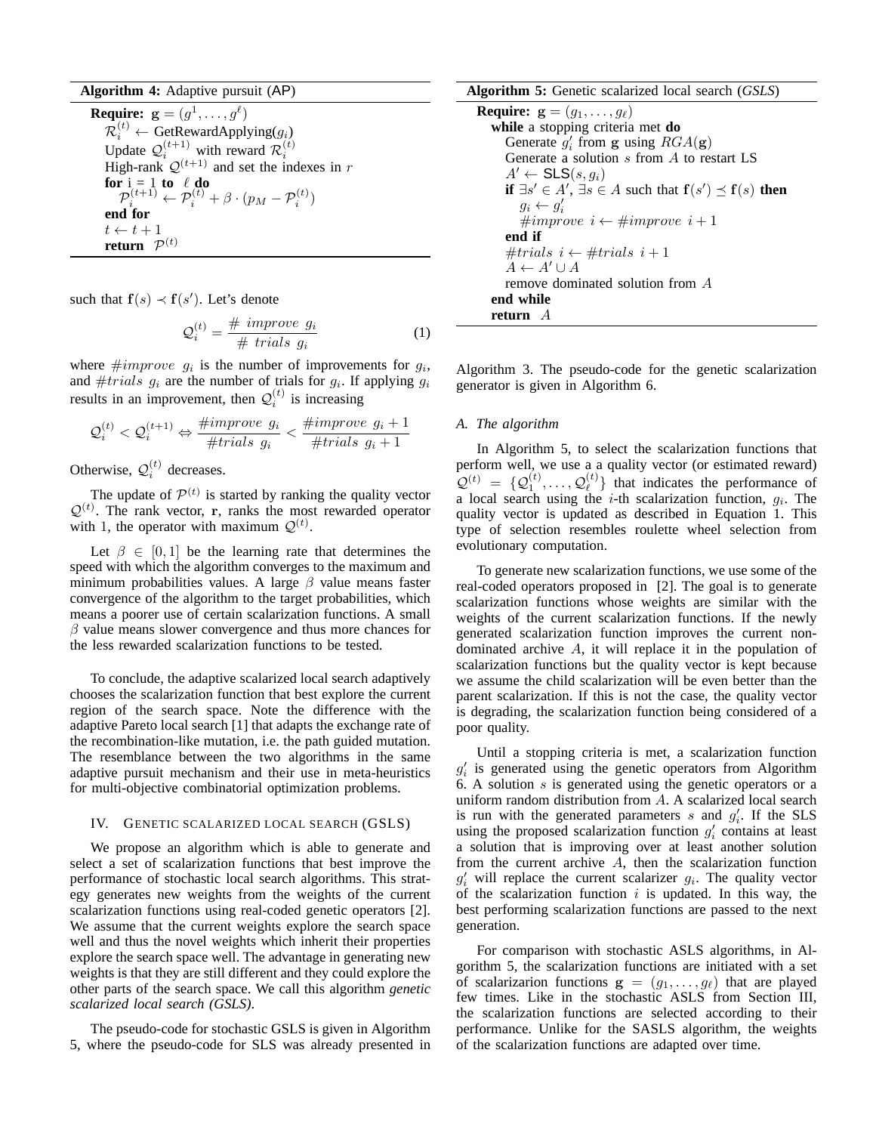**Algorithm 4:** Adaptive pursuit (AP) **Require:**  $\mathbf{g} = (g^1, \dots, g^\ell)$  $\overline{\mathcal{R}}_i^{(t)} \leftarrow \text{GetRewardApplying}(g_i)$ Update  $\mathcal{Q}_i^{(t+1)}$  with reward  $\mathcal{R}_i^{(t)}$ <br>High-rank  $\mathcal{Q}^{(t+1)}$  and set the indexes in r **for**  $i = 1$  **to**  $\ell$  **do**  $\mathcal{P}_i^{(t+1)} \leftarrow \mathcal{P}_i^{(t)} + \beta \cdot (p_M - \mathcal{P}_i^{(t)})$ **end for**  $t \leftarrow t + 1$  $return \hspace{0.1cm} \mathcal{P}^{(t)}$ 

such that  $f(s) \prec f(s')$ . Let's denote

$$
\mathcal{Q}_i^{(t)} = \frac{\# \; \text{improve} \; g_i}{\# \; \text{trials} \; g_i} \tag{1}
$$

where  $\#improve$   $g_i$  is the number of improvements for  $g_i$ , and  $\#trials$   $g_i$  are the number of trials for  $g_i$ . If applying  $g_i$ results in an improvement, then  $Q_i^{(t)}$  is increasing

$$
\mathcal{Q}_i^{(t)} < \mathcal{Q}_i^{(t+1)} \Leftrightarrow \frac{\# \text{improve } g_i}{\# \text{trials } g_i} < \frac{\# \text{improve } g_i + 1}{\# \text{trials } g_i + 1}
$$

Otherwise,  $Q_i^{(t)}$  decreases.

The update of  $\mathcal{P}^{(t)}$  is started by ranking the quality vector  $Q^{(t)}$ . The rank vector, r, ranks the most rewarded operator with 1, the operator with maximum  $\mathcal{Q}^{(t)}$ .

Let  $\beta \in [0,1]$  be the learning rate that determines the speed with which the algorithm converges to the maximum and minimum probabilities values. A large  $\beta$  value means faster convergence of the algorithm to the target probabilities, which means a poorer use of certain scalarization functions. A small  $\beta$  value means slower convergence and thus more chances for the less rewarded scalarization functions to be tested.

To conclude, the adaptive scalarized local search adaptively chooses the scalarization function that best explore the current region of the search space. Note the difference with the adaptive Pareto local search [1] that adapts the exchange rate of the recombination-like mutation, i.e. the path guided mutation. The resemblance between the two algorithms in the same adaptive pursuit mechanism and their use in meta-heuristics for multi-objective combinatorial optimization problems.

## IV. GENETIC SCALARIZED LOCAL SEARCH (GSLS)

We propose an algorithm which is able to generate and select a set of scalarization functions that best improve the performance of stochastic local search algorithms. This strategy generates new weights from the weights of the current scalarization functions using real-coded genetic operators [2]. We assume that the current weights explore the search space well and thus the novel weights which inherit their properties explore the search space well. The advantage in generating new weights is that they are still different and they could explore the other parts of the search space. We call this algorithm *genetic scalarized local search (GSLS)*.

The pseudo-code for stochastic GSLS is given in Algorithm 5, where the pseudo-code for SLS was already presented in

#### **Algorithm 5:** Genetic scalarized local search (*GSLS*)

**Require:**  $\mathbf{g} = (g_1, \dots, g_\ell)$ **while** a stopping criteria met **do** Generate  $g'_i$  from g using  $RGA(g)$ Generate a solution s from A to restart LS  $A' \leftarrow$  SLS $(s, g_i)$ **if**  $\exists s' \in A', \exists s \in A$  such that  $f(s') \preceq f(s)$  then  $g_i \leftarrow g'_i$  $\#improve\ i \leftarrow \#improve\ i+1$ **end if**  $#trials i ← #trials i + 1$  $A \leftarrow A' \cup A$ remove dominated solution from A **end while return** A

Algorithm 3. The pseudo-code for the genetic scalarization generator is given in Algorithm 6.

## *A. The algorithm*

In Algorithm 5, to select the scalarization functions that perform well, we use a a quality vector (or estimated reward)  $\mathcal{Q}^{(t)}\;=\;\{\mathcal{Q}_1^{(t)},\ldots,\mathcal{Q}_\ell^{(t)}$  $\binom{t}{\ell}$  that indicates the performance of a local search using the *i*-th scalarization function,  $g_i$ . The quality vector is updated as described in Equation 1. This type of selection resembles roulette wheel selection from evolutionary computation.

To generate new scalarization functions, we use some of the real-coded operators proposed in [2]. The goal is to generate scalarization functions whose weights are similar with the weights of the current scalarization functions. If the newly generated scalarization function improves the current nondominated archive A, it will replace it in the population of scalarization functions but the quality vector is kept because we assume the child scalarization will be even better than the parent scalarization. If this is not the case, the quality vector is degrading, the scalarization function being considered of a poor quality.

Until a stopping criteria is met, a scalarization function  $g'_{i}$  is generated using the genetic operators from Algorithm 6. A solution s is generated using the genetic operators or a uniform random distribution from A. A scalarized local search is run with the generated parameters s and  $g_i'$ . If the SLS using the proposed scalarization function  $g'_i$  contains at least a solution that is improving over at least another solution from the current archive  $A$ , then the scalarization function  $g'_{i}$  will replace the current scalarizer  $g_{i}$ . The quality vector of the scalarization function  $i$  is updated. In this way, the best performing scalarization functions are passed to the next generation.

For comparison with stochastic ASLS algorithms, in Algorithm 5, the scalarization functions are initiated with a set of scalarizarion functions  $g = (g_1, \ldots, g_\ell)$  that are played few times. Like in the stochastic ASLS from Section III, the scalarization functions are selected according to their performance. Unlike for the SASLS algorithm, the weights of the scalarization functions are adapted over time.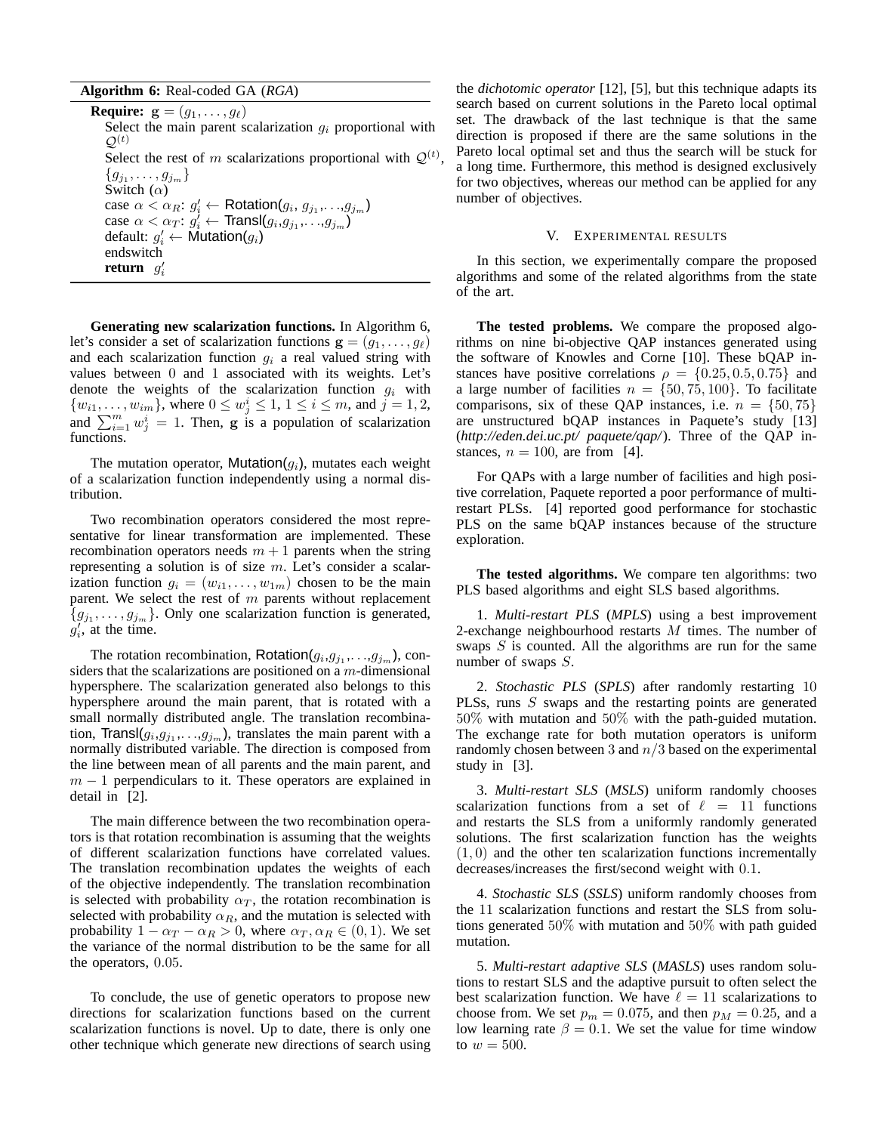**Algorithm 6:** Real-coded GA (*RGA*)

**Require:**  $\mathbf{g} = (g_1, \dots, g_\ell)$ Select the main parent scalarization  $q_i$  proportional with  $\mathcal{Q}^{(t)}$ Select the rest of m scalarizations proportional with  $\mathcal{Q}^{(t)}$ ,  $\{g_{j_1}, \ldots, g_{j_m}\}$ Switch  $(\alpha)$ case  $\alpha < \alpha_R$ :  $g'_i \leftarrow$  Rotation $(g_i, g_{j_1}, \ldots, g_{j_m})$ case  $\alpha < \alpha_T : g_i^j \leftarrow \text{Transl}(g_i, g_{j_1}, \ldots, g_{j_m})$ default:  $g'_i \leftarrow \mathsf{Multation}(g_i)$ endswitch **return**  $g'_i$ 

**Generating new scalarization functions.** In Algorithm 6, let's consider a set of scalarization functions  $\mathbf{g} = (g_1, \dots, g_\ell)$ and each scalarization function  $g_i$  a real valued string with values between 0 and 1 associated with its weights. Let's denote the weights of the scalarization function  $g_i$  with  $\{w_{i1}, \ldots, w_{im}\}\$ , where  $0 \le w_j^i \le 1, 1 \le i \le m$ , and  $j = 1, 2$ , and  $\sum_{i=1}^{m} w_j^i = 1$ . Then, g is a population of scalarization functions.

The mutation operator, Mutation $(q_i)$ , mutates each weight of a scalarization function independently using a normal distribution.

Two recombination operators considered the most representative for linear transformation are implemented. These recombination operators needs  $m + 1$  parents when the string representing a solution is of size  $m$ . Let's consider a scalarization function  $g_i = (w_{i1}, \ldots, w_{1m})$  chosen to be the main parent. We select the rest of  $m$  parents without replacement  ${g_{j_1}, \ldots, g_{j_m}}$ . Only one scalarization function is generated,  $g'_i$ , at the time.

The rotation recombination, Rotation $(g_i, g_{j_1}, \ldots, g_{j_m})$ , considers that the scalarizations are positioned on a  $m$ -dimensional hypersphere. The scalarization generated also belongs to this hypersphere around the main parent, that is rotated with a small normally distributed angle. The translation recombination, Transl $(g_i, g_{j_1}, \ldots, g_{j_m})$ , translates the main parent with a normally distributed variable. The direction is composed from the line between mean of all parents and the main parent, and  $m-1$  perpendiculars to it. These operators are explained in detail in [2].

The main difference between the two recombination operators is that rotation recombination is assuming that the weights of different scalarization functions have correlated values. The translation recombination updates the weights of each of the objective independently. The translation recombination is selected with probability  $\alpha_T$ , the rotation recombination is selected with probability  $\alpha_R$ , and the mutation is selected with probability  $1 - \alpha_T - \alpha_R > 0$ , where  $\alpha_T, \alpha_R \in (0, 1)$ . We set the variance of the normal distribution to be the same for all the operators, 0.05.

To conclude, the use of genetic operators to propose new directions for scalarization functions based on the current scalarization functions is novel. Up to date, there is only one other technique which generate new directions of search using

the *dichotomic operator* [12], [5], but this technique adapts its search based on current solutions in the Pareto local optimal set. The drawback of the last technique is that the same direction is proposed if there are the same solutions in the Pareto local optimal set and thus the search will be stuck for a long time. Furthermore, this method is designed exclusively for two objectives, whereas our method can be applied for any number of objectives.

#### V. EXPERIMENTAL RESULTS

In this section, we experimentally compare the proposed algorithms and some of the related algorithms from the state of the art.

**The tested problems.** We compare the proposed algorithms on nine bi-objective QAP instances generated using the software of Knowles and Corne [10]. These bQAP instances have positive correlations  $\rho = \{0.25, 0.5, 0.75\}$  and a large number of facilities  $n = \{50, 75, 100\}$ . To facilitate comparisons, six of these QAP instances, i.e.  $n = \{50, 75\}$ are unstructured bQAP instances in Paquete's study [13] (*http://eden.dei.uc.pt/ paquete/qap/*). Three of the QAP instances,  $n = 100$ , are from [4].

For QAPs with a large number of facilities and high positive correlation, Paquete reported a poor performance of multirestart PLSs. [4] reported good performance for stochastic PLS on the same bQAP instances because of the structure exploration.

**The tested algorithms.** We compare ten algorithms: two PLS based algorithms and eight SLS based algorithms.

1. *Multi-restart PLS* (*MPLS*) using a best improvement 2-exchange neighbourhood restarts M times. The number of swaps S is counted. All the algorithms are run for the same number of swaps S.

2. *Stochastic PLS* (*SPLS*) after randomly restarting 10 PLSs, runs S swaps and the restarting points are generated 50% with mutation and 50% with the path-guided mutation. The exchange rate for both mutation operators is uniform randomly chosen between 3 and  $n/3$  based on the experimental study in [3].

3. *Multi-restart SLS* (*MSLS*) uniform randomly chooses scalarization functions from a set of  $\ell = 11$  functions and restarts the SLS from a uniformly randomly generated solutions. The first scalarization function has the weights  $(1, 0)$  and the other ten scalarization functions incrementally decreases/increases the first/second weight with 0.1.

4. *Stochastic SLS* (*SSLS*) uniform randomly chooses from the 11 scalarization functions and restart the SLS from solutions generated 50% with mutation and 50% with path guided mutation.

5. *Multi-restart adaptive SLS* (*MASLS*) uses random solutions to restart SLS and the adaptive pursuit to often select the best scalarization function. We have  $\ell = 11$  scalarizations to choose from. We set  $p_m = 0.075$ , and then  $p_M = 0.25$ , and a low learning rate  $\beta = 0.1$ . We set the value for time window to  $w = 500$ .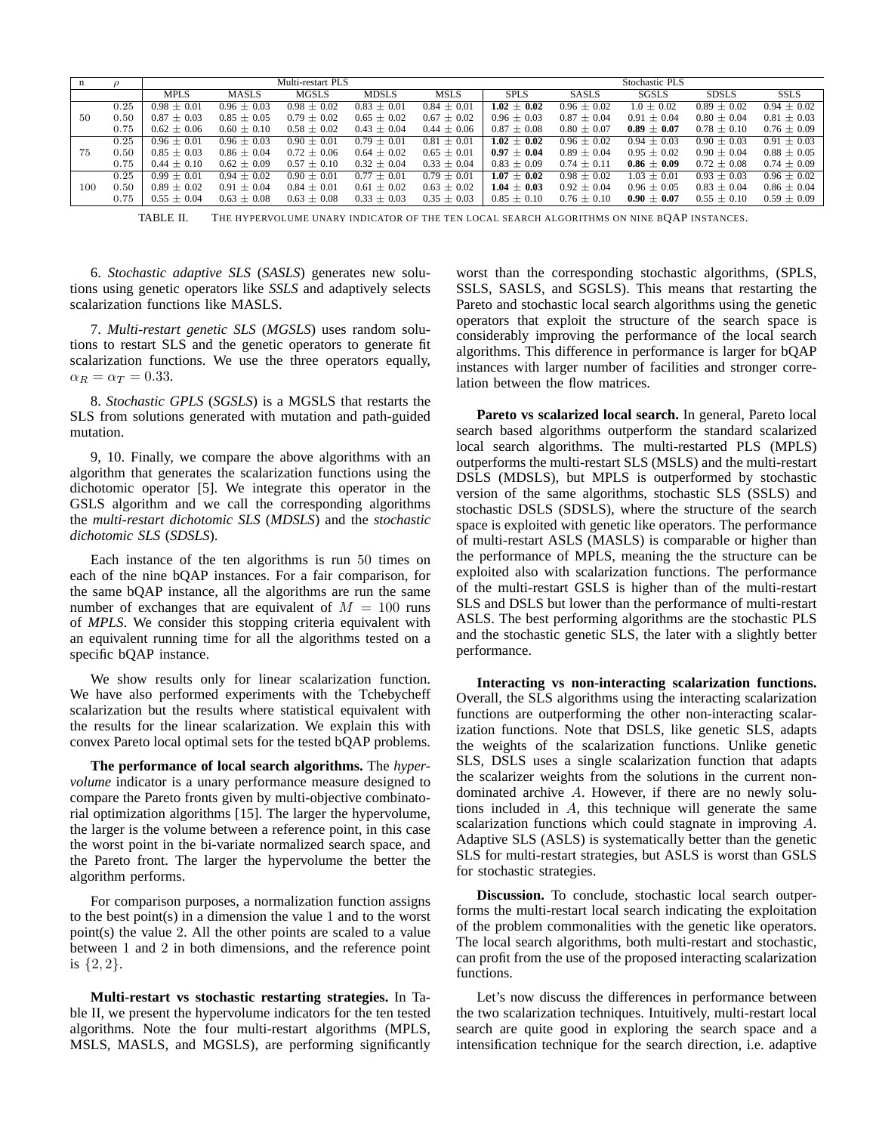| n   | $\rho$ | Multi-restart PLS |                 |                 |                 | Stochastic PLS  |                 |                 |                 |                 |                 |
|-----|--------|-------------------|-----------------|-----------------|-----------------|-----------------|-----------------|-----------------|-----------------|-----------------|-----------------|
|     |        | <b>MPLS</b>       | MASLS           | MGSLS           | MDSLS           | <b>MSLS</b>     | <b>SPLS</b>     | SASLS           | SGSLS           | <b>SDSLS</b>    | <b>SSLS</b>     |
|     | 0.25   | $0.98 \pm 0.01$   | $0.96 \pm 0.03$ | $0.98 \pm 0.02$ | $0.83 \pm 0.01$ | $0.84 \pm 0.01$ | $1.02 \pm 0.02$ | $0.96 \pm 0.02$ | $1.0 \pm 0.02$  | $0.89 \pm 0.02$ | $0.94 \pm 0.02$ |
| 50  | 0.50   | $0.87 \pm 0.03$   | $0.85 \pm 0.05$ | $0.79 \pm 0.02$ | $0.65 \pm 0.02$ | $0.67 \pm 0.02$ | $0.96 \pm 0.03$ | $0.87 \pm 0.04$ | $0.91 \pm 0.04$ | $0.80 \pm 0.04$ | $0.81 \pm 0.03$ |
|     | 0.75   | $0.62 \pm 0.06$   | $0.60 \pm 0.10$ | $0.58 \pm 0.02$ | $0.43 \pm 0.04$ | $0.44 \pm 0.06$ | $0.87 \pm 0.08$ | $0.80 \pm 0.07$ | $0.89 \pm 0.07$ | $0.78 \pm 0.10$ | $0.76 \pm 0.09$ |
|     | 0.25   | $0.96 \pm 0.01$   | $0.96 \pm 0.03$ | $0.90 \pm 0.01$ | $0.79 \pm 0.01$ | $0.81 \pm 0.01$ | $1.02 \pm 0.02$ | $0.96 \pm 0.02$ | $0.94 \pm 0.03$ | $0.90 \pm 0.03$ | $0.91 \pm 0.03$ |
| 75  | 0.50   | $0.85 \pm 0.03$   | $0.86 \pm 0.04$ | $0.72 \pm 0.06$ | $0.64 \pm 0.02$ | $0.65 \pm 0.01$ | $0.97 \pm 0.04$ | $0.89 \pm 0.04$ | $0.95 \pm 0.02$ | $0.90 \pm 0.04$ | $0.88 \pm 0.05$ |
|     | 0.75   | $0.44 \pm 0.10$   | $0.62 \pm 0.09$ | $0.57 \pm 0.10$ | $0.32 \pm 0.04$ | $0.33 \pm 0.04$ | $0.83 \pm 0.09$ | $0.74 \pm 0.11$ | $0.86 \pm 0.09$ | $0.72 \pm 0.08$ | $0.74 \pm 0.09$ |
|     | 0.25   | $0.99 + 0.01$     | $0.94 \pm 0.02$ | $0.90 \pm 0.01$ | $0.77 \pm 0.01$ | $0.79 \pm 0.01$ | $1.07 \pm 0.02$ | $0.98 \pm 0.02$ | $1.03 \pm 0.01$ | $0.93 + 0.03$   | $0.96 + 0.02$   |
| 100 | 0.50   | $0.89 \pm 0.02$   | $0.91 \pm 0.04$ | $0.84 \pm 0.01$ | $0.61 \pm 0.02$ | $0.63 \pm 0.02$ | $1.04 \pm 0.03$ | $0.92 \pm 0.04$ | $0.96 \pm 0.05$ | $0.83 \pm 0.04$ | $0.86 \pm 0.04$ |
|     | 0.75   | $0.55 \pm 0.04$   | $0.63 \pm 0.08$ | $0.63 \pm 0.08$ | $0.33 \pm 0.03$ | $0.35 \pm 0.03$ | $0.85 \pm 0.10$ | $0.76 \pm 0.10$ | $0.90 \pm 0.07$ | $0.55 \pm 0.10$ | $0.59 \pm 0.09$ |

TABLE II. THE HYPERVOLUME UNARY INDICATOR OF THE TEN LOCAL SEARCH ALGORITHMS ON NINE BQAP INSTANCES.

6. *Stochastic adaptive SLS* (*SASLS*) generates new solutions using genetic operators like *SSLS* and adaptively selects scalarization functions like MASLS.

7. *Multi-restart genetic SLS* (*MGSLS*) uses random solutions to restart SLS and the genetic operators to generate fit scalarization functions. We use the three operators equally,  $\alpha_R = \alpha_T = 0.33$ .

8. *Stochastic GPLS* (*SGSLS*) is a MGSLS that restarts the SLS from solutions generated with mutation and path-guided mutation.

9, 10. Finally, we compare the above algorithms with an algorithm that generates the scalarization functions using the dichotomic operator [5]. We integrate this operator in the GSLS algorithm and we call the corresponding algorithms the *multi-restart dichotomic SLS* (*MDSLS*) and the *stochastic dichotomic SLS* (*SDSLS*).

Each instance of the ten algorithms is run 50 times on each of the nine bQAP instances. For a fair comparison, for the same bQAP instance, all the algorithms are run the same number of exchanges that are equivalent of  $M = 100$  runs of *MPLS*. We consider this stopping criteria equivalent with an equivalent running time for all the algorithms tested on a specific bQAP instance.

We show results only for linear scalarization function. We have also performed experiments with the Tchebycheff scalarization but the results where statistical equivalent with the results for the linear scalarization. We explain this with convex Pareto local optimal sets for the tested bQAP problems.

**The performance of local search algorithms.** The *hypervolume* indicator is a unary performance measure designed to compare the Pareto fronts given by multi-objective combinatorial optimization algorithms [15]. The larger the hypervolume, the larger is the volume between a reference point, in this case the worst point in the bi-variate normalized search space, and the Pareto front. The larger the hypervolume the better the algorithm performs.

For comparison purposes, a normalization function assigns to the best point(s) in a dimension the value 1 and to the worst point(s) the value 2. All the other points are scaled to a value between 1 and 2 in both dimensions, and the reference point is  $\{2,2\}.$ 

**Multi-restart vs stochastic restarting strategies.** In Table II, we present the hypervolume indicators for the ten tested algorithms. Note the four multi-restart algorithms (MPLS, MSLS, MASLS, and MGSLS), are performing significantly worst than the corresponding stochastic algorithms, (SPLS, SSLS, SASLS, and SGSLS). This means that restarting the Pareto and stochastic local search algorithms using the genetic operators that exploit the structure of the search space is considerably improving the performance of the local search algorithms. This difference in performance is larger for bQAP instances with larger number of facilities and stronger correlation between the flow matrices.

**Pareto vs scalarized local search.** In general, Pareto local search based algorithms outperform the standard scalarized local search algorithms. The multi-restarted PLS (MPLS) outperforms the multi-restart SLS (MSLS) and the multi-restart DSLS (MDSLS), but MPLS is outperformed by stochastic version of the same algorithms, stochastic SLS (SSLS) and stochastic DSLS (SDSLS), where the structure of the search space is exploited with genetic like operators. The performance of multi-restart ASLS (MASLS) is comparable or higher than the performance of MPLS, meaning the the structure can be exploited also with scalarization functions. The performance of the multi-restart GSLS is higher than of the multi-restart SLS and DSLS but lower than the performance of multi-restart ASLS. The best performing algorithms are the stochastic PLS and the stochastic genetic SLS, the later with a slightly better performance.

**Interacting vs non-interacting scalarization functions.** Overall, the SLS algorithms using the interacting scalarization functions are outperforming the other non-interacting scalarization functions. Note that DSLS, like genetic SLS, adapts the weights of the scalarization functions. Unlike genetic SLS, DSLS uses a single scalarization function that adapts the scalarizer weights from the solutions in the current nondominated archive A. However, if there are no newly solutions included in A, this technique will generate the same scalarization functions which could stagnate in improving A. Adaptive SLS (ASLS) is systematically better than the genetic SLS for multi-restart strategies, but ASLS is worst than GSLS for stochastic strategies.

**Discussion.** To conclude, stochastic local search outperforms the multi-restart local search indicating the exploitation of the problem commonalities with the genetic like operators. The local search algorithms, both multi-restart and stochastic, can profit from the use of the proposed interacting scalarization functions.

Let's now discuss the differences in performance between the two scalarization techniques. Intuitively, multi-restart local search are quite good in exploring the search space and a intensification technique for the search direction, i.e. adaptive